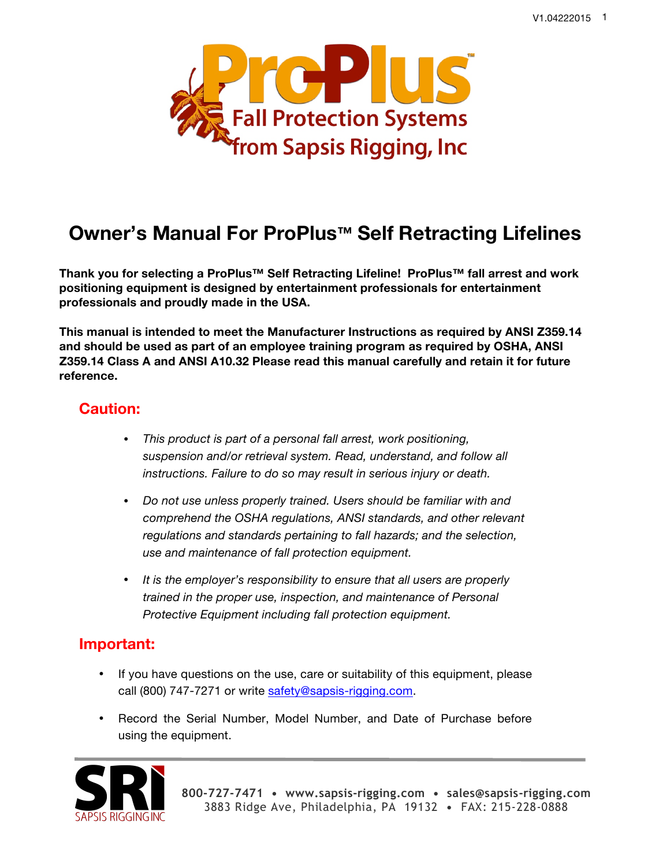

# **Owner's Manual For ProPlus™ Self Retracting Lifelines**

**Thank you for selecting a ProPlus™ Self Retracting Lifeline! ProPlus™ fall arrest and work positioning equipment is designed by entertainment professionals for entertainment professionals and proudly made in the USA.** 

**This manual is intended to meet the Manufacturer Instructions as required by ANSI Z359.14 and should be used as part of an employee training program as required by OSHA, ANSI Z359.14 Class A and ANSI A10.32 Please read this manual carefully and retain it for future reference.**

## **Caution:**

- *This product is part of a personal fall arrest, work positioning, suspension and/or retrieval system. Read, understand, and follow all instructions. Failure to do so may result in serious injury or death.*
- *Do not use unless properly trained. Users should be familiar with and comprehend the OSHA regulations, ANSI standards, and other relevant regulations and standards pertaining to fall hazards; and the selection, use and maintenance of fall protection equipment.*
- *It is the employer's responsibility to ensure that all users are properly trained in the proper use, inspection, and maintenance of Personal Protective Equipment including fall protection equipment.*

## **Important:**

- If you have questions on the use, care or suitability of this equipment, please call (800) 747-7271 or write safety@sapsis-rigging.com.
- Record the Serial Number, Model Number, and Date of Purchase before using the equipment.

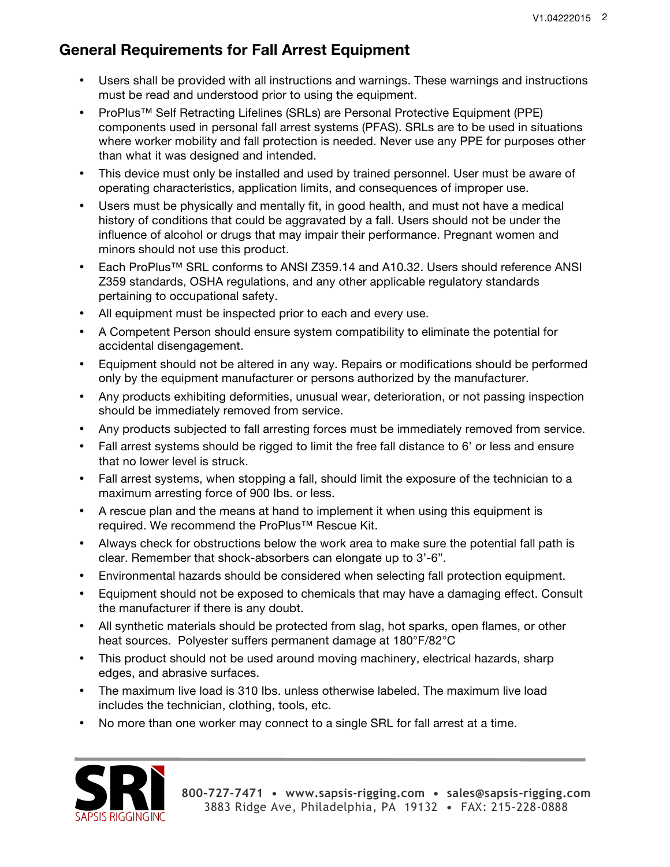# **General Requirements for Fall Arrest Equipment**

- Users shall be provided with all instructions and warnings. These warnings and instructions must be read and understood prior to using the equipment.
- ProPlus™ Self Retracting Lifelines (SRLs) are Personal Protective Equipment (PPE) components used in personal fall arrest systems (PFAS). SRLs are to be used in situations where worker mobility and fall protection is needed. Never use any PPE for purposes other than what it was designed and intended.
- This device must only be installed and used by trained personnel. User must be aware of operating characteristics, application limits, and consequences of improper use.
- Users must be physically and mentally fit, in good health, and must not have a medical history of conditions that could be aggravated by a fall. Users should not be under the influence of alcohol or drugs that may impair their performance. Pregnant women and minors should not use this product.
- Each ProPlus™ SRL conforms to ANSI Z359.14 and A10.32. Users should reference ANSI Z359 standards, OSHA regulations, and any other applicable regulatory standards pertaining to occupational safety.
- All equipment must be inspected prior to each and every use.
- A Competent Person should ensure system compatibility to eliminate the potential for accidental disengagement.
- Equipment should not be altered in any way. Repairs or modifications should be performed only by the equipment manufacturer or persons authorized by the manufacturer.
- Any products exhibiting deformities, unusual wear, deterioration, or not passing inspection should be immediately removed from service.
- Any products subjected to fall arresting forces must be immediately removed from service.
- Fall arrest systems should be rigged to limit the free fall distance to 6' or less and ensure that no lower level is struck.
- Fall arrest systems, when stopping a fall, should limit the exposure of the technician to a maximum arresting force of 900 Ibs. or less.
- A rescue plan and the means at hand to implement it when using this equipment is required. We recommend the ProPlus™ Rescue Kit.
- Always check for obstructions below the work area to make sure the potential fall path is clear. Remember that shock-absorbers can elongate up to 3'-6".
- Environmental hazards should be considered when selecting fall protection equipment.
- Equipment should not be exposed to chemicals that may have a damaging effect. Consult the manufacturer if there is any doubt.
- All synthetic materials should be protected from slag, hot sparks, open flames, or other heat sources. Polyester suffers permanent damage at 180°F/82°C
- This product should not be used around moving machinery, electrical hazards, sharp edges, and abrasive surfaces.
- The maximum live load is 310 Ibs. unless otherwise labeled. The maximum live load includes the technician, clothing, tools, etc.
- No more than one worker may connect to a single SRL for fall arrest at a time.

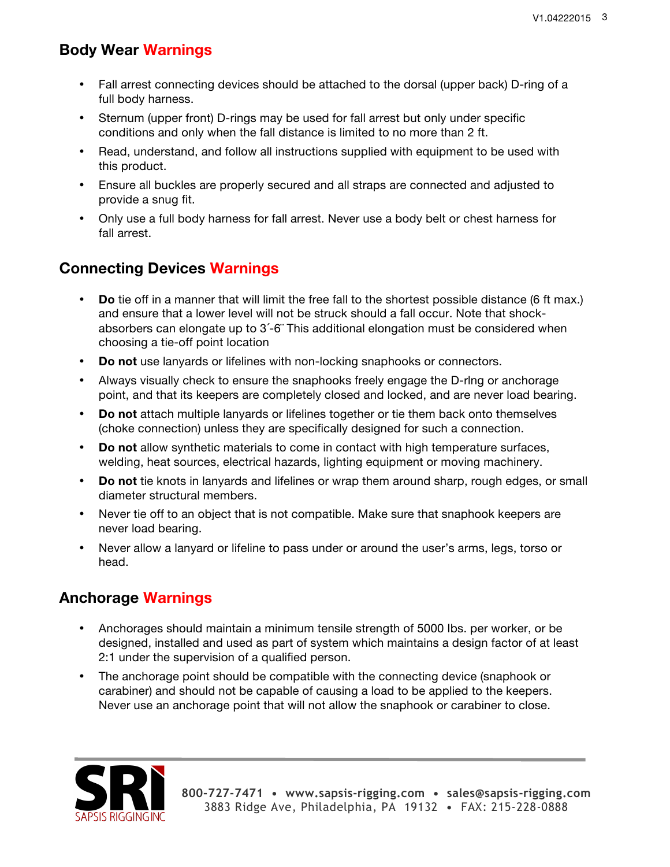# **Body Wear Warnings**

- Fall arrest connecting devices should be attached to the dorsal (upper back) D-ring of a full body harness.
- Sternum (upper front) D-rings may be used for fall arrest but only under specific conditions and only when the fall distance is limited to no more than 2 ft.
- Read, understand, and follow all instructions supplied with equipment to be used with this product.
- Ensure all buckles are properly secured and all straps are connected and adjusted to provide a snug fit.
- Only use a full body harness for fall arrest. Never use a body belt or chest harness for fall arrest.

# **Connecting Devices Warnings**

- **Do** tie off in a manner that will limit the free fall to the shortest possible distance (6 ft max.) and ensure that a lower level will not be struck should a fall occur. Note that shockabsorbers can elongate up to 3´-6¨ This additional elongation must be considered when choosing a tie-off point location
- **Do not** use lanyards or lifelines with non-locking snaphooks or connectors.
- Always visually check to ensure the snaphooks freely engage the D-rlng or anchorage point, and that its keepers are completely closed and locked, and are never load bearing.
- **Do not** attach multiple lanyards or lifelines together or tie them back onto themselves (choke connection) unless they are specifically designed for such a connection.
- **Do not** allow synthetic materials to come in contact with high temperature surfaces, welding, heat sources, electrical hazards, lighting equipment or moving machinery.
- **Do not** tie knots in lanyards and lifelines or wrap them around sharp, rough edges, or small diameter structural members.
- Never tie off to an object that is not compatible. Make sure that snaphook keepers are never load bearing.
- Never allow a lanyard or lifeline to pass under or around the user's arms, legs, torso or head.

# **Anchorage Warnings**

- Anchorages should maintain a minimum tensile strength of 5000 Ibs. per worker, or be designed, installed and used as part of system which maintains a design factor of at least 2:1 under the supervision of a qualified person.
- The anchorage point should be compatible with the connecting device (snaphook or carabiner) and should not be capable of causing a load to be applied to the keepers. Never use an anchorage point that will not allow the snaphook or carabiner to close.

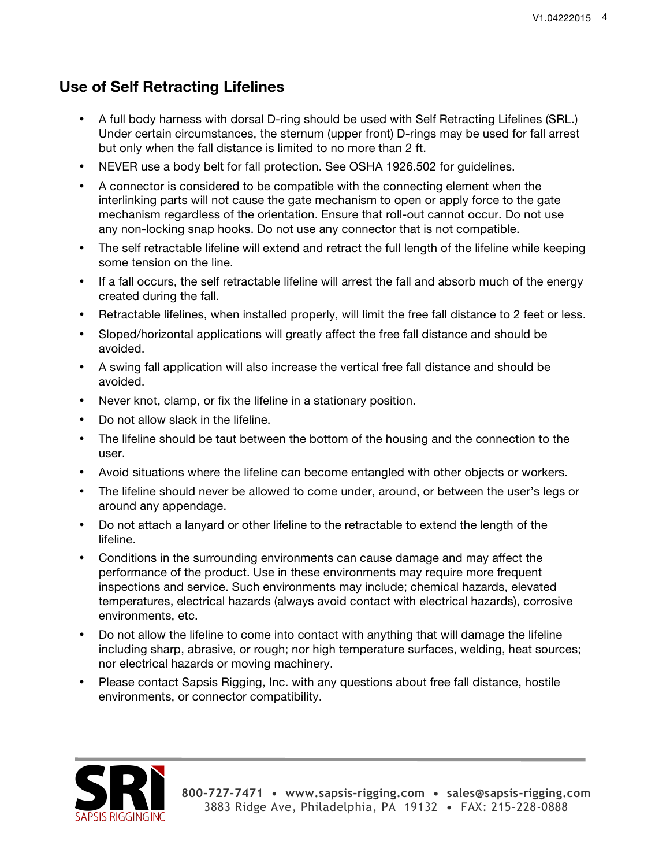## **Use of Self Retracting Lifelines**

- A full body harness with dorsal D-ring should be used with Self Retracting Lifelines (SRL.) Under certain circumstances, the sternum (upper front) D-rings may be used for fall arrest but only when the fall distance is limited to no more than 2 ft.
- NEVER use a body belt for fall protection. See OSHA 1926.502 for guidelines.
- A connector is considered to be compatible with the connecting element when the interlinking parts will not cause the gate mechanism to open or apply force to the gate mechanism regardless of the orientation. Ensure that roll-out cannot occur. Do not use any non-locking snap hooks. Do not use any connector that is not compatible.
- The self retractable lifeline will extend and retract the full length of the lifeline while keeping some tension on the line.
- If a fall occurs, the self retractable lifeline will arrest the fall and absorb much of the energy created during the fall.
- Retractable lifelines, when installed properly, will limit the free fall distance to 2 feet or less.
- Sloped/horizontal applications will greatly affect the free fall distance and should be avoided.
- A swing fall application will also increase the vertical free fall distance and should be avoided.
- Never knot, clamp, or fix the lifeline in a stationary position.
- Do not allow slack in the lifeline.
- The lifeline should be taut between the bottom of the housing and the connection to the user.
- Avoid situations where the lifeline can become entangled with other objects or workers.
- The lifeline should never be allowed to come under, around, or between the user's legs or around any appendage.
- Do not attach a lanyard or other lifeline to the retractable to extend the length of the lifeline.
- Conditions in the surrounding environments can cause damage and may affect the performance of the product. Use in these environments may require more frequent inspections and service. Such environments may include; chemical hazards, elevated temperatures, electrical hazards (always avoid contact with electrical hazards), corrosive environments, etc.
- Do not allow the lifeline to come into contact with anything that will damage the lifeline including sharp, abrasive, or rough; nor high temperature surfaces, welding, heat sources; nor electrical hazards or moving machinery.
- Please contact Sapsis Rigging, Inc. with any questions about free fall distance, hostile environments, or connector compatibility.

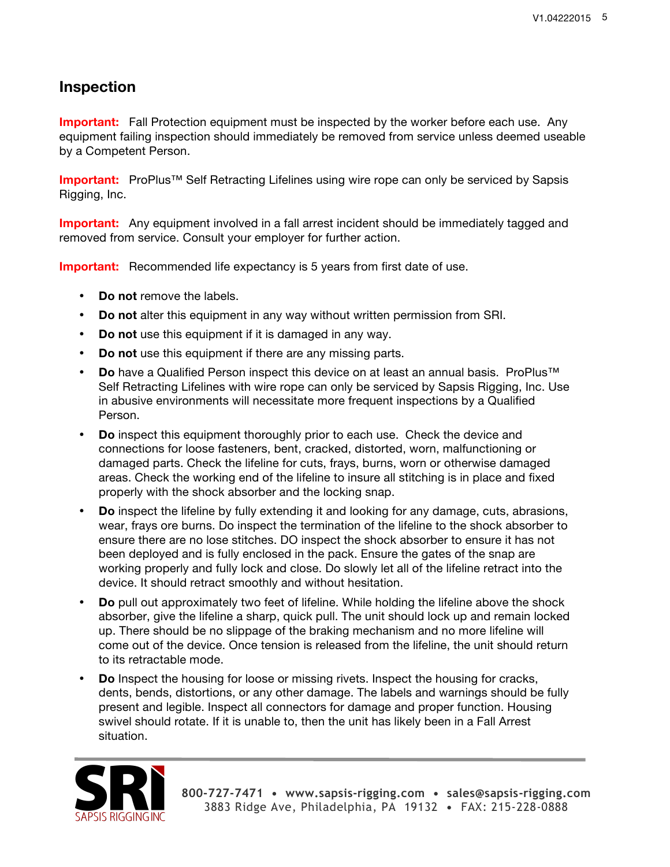## **Inspection**

**Important:** Fall Protection equipment must be inspected by the worker before each use. Any equipment failing inspection should immediately be removed from service unless deemed useable by a Competent Person.

**Important:** ProPlus™ Self Retracting Lifelines using wire rope can only be serviced by Sapsis Rigging, Inc.

**Important:** Any equipment involved in a fall arrest incident should be immediately tagged and removed from service. Consult your employer for further action.

**Important:** Recommended life expectancy is 5 years from first date of use.

- **Do not** remove the labels.
- **Do not** alter this equipment in any way without written permission from SRI.
- **Do not** use this equipment if it is damaged in any way.
- **Do not** use this equipment if there are any missing parts.
- **Do** have a Qualified Person inspect this device on at least an annual basis. ProPlus™ Self Retracting Lifelines with wire rope can only be serviced by Sapsis Rigging, Inc. Use in abusive environments will necessitate more frequent inspections by a Qualified Person.
- **Do** inspect this equipment thoroughly prior to each use. Check the device and connections for loose fasteners, bent, cracked, distorted, worn, malfunctioning or damaged parts. Check the lifeline for cuts, frays, burns, worn or otherwise damaged areas. Check the working end of the lifeline to insure all stitching is in place and fixed properly with the shock absorber and the locking snap.
- **Do** inspect the lifeline by fully extending it and looking for any damage, cuts, abrasions, wear, frays ore burns. Do inspect the termination of the lifeline to the shock absorber to ensure there are no lose stitches. DO inspect the shock absorber to ensure it has not been deployed and is fully enclosed in the pack. Ensure the gates of the snap are working properly and fully lock and close. Do slowly let all of the lifeline retract into the device. It should retract smoothly and without hesitation.
- **Do** pull out approximately two feet of lifeline. While holding the lifeline above the shock absorber, give the lifeline a sharp, quick pull. The unit should lock up and remain locked up. There should be no slippage of the braking mechanism and no more lifeline will come out of the device. Once tension is released from the lifeline, the unit should return to its retractable mode.
- **Do** Inspect the housing for loose or missing rivets. Inspect the housing for cracks, dents, bends, distortions, or any other damage. The labels and warnings should be fully present and legible. Inspect all connectors for damage and proper function. Housing swivel should rotate. If it is unable to, then the unit has likely been in a Fall Arrest situation.